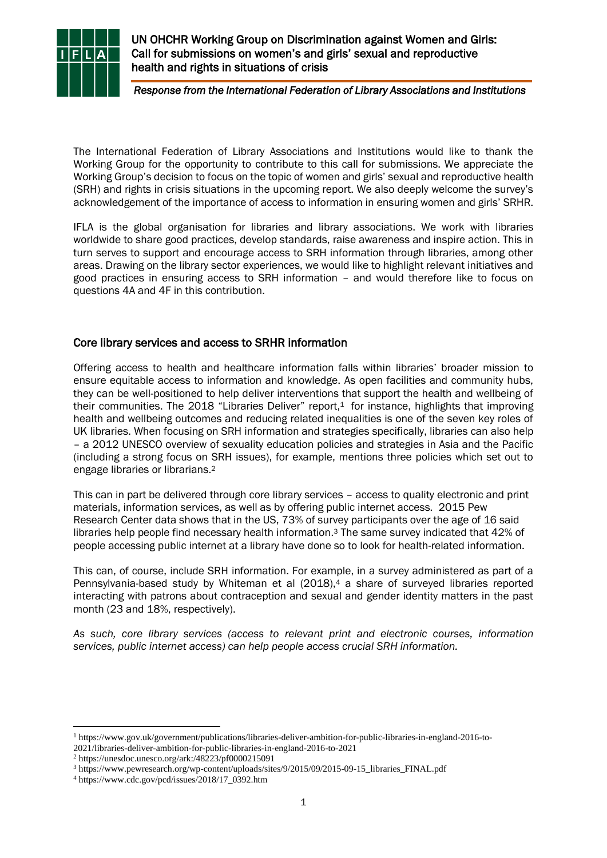

L

UN OHCHR Working Group on Discrimination against Women and Girls: Call for submissions on women's and girls' sexual and reproductive health and rights in situations of crisis

*Response from the International Federation of Library Associations and Institutions* 

The International Federation of Library Associations and Institutions would like to thank the Working Group for the opportunity to contribute to this call for submissions. We appreciate the Working Group's decision to focus on the topic of women and girls' sexual and reproductive health (SRH) and rights in crisis situations in the upcoming report. We also deeply welcome the survey's acknowledgement of the importance of access to information in ensuring women and girls' SRHR.

IFLA is the global organisation for libraries and library associations. We work with libraries worldwide to share good practices, develop standards, raise awareness and inspire action. This in turn serves to support and encourage access to SRH information through libraries, among other areas. Drawing on the library sector experiences, we would like to highlight relevant initiatives and good practices in ensuring access to SRH information – and would therefore like to focus on questions 4A and 4F in this contribution.

## Core library services and access to SRHR information

Offering access to health and healthcare information falls within libraries' broader mission to ensure equitable access to information and knowledge. As open facilities and community hubs, they can be well-positioned to help deliver interventions that support the health and wellbeing of their communities. The 2018 "Libraries Deliver" report, <sup>1</sup> for instance, highlights that improving health and wellbeing outcomes and reducing related inequalities is one of the seven key roles of UK libraries. When focusing on SRH information and strategies specifically, libraries can also help – a 2012 UNESCO overview of sexuality education policies and strategies in Asia and the Pacific (including a strong focus on SRH issues), for example, mentions three policies which set out to engage libraries or librarians. 2

This can in part be delivered through core library services – access to quality electronic and print materials, information services, as well as by offering public internet access. 2015 Pew Research Center data shows that in the US, 73% of survey participants over the age of 16 said libraries help people find necessary health information. <sup>3</sup> The same survey indicated that 42% of people accessing public internet at a library have done so to look for health-related information.

This can, of course, include SRH information. For example, in a survey administered as part of a Pennsylvania-based study by Whiteman et al (2018),<sup>4</sup> a share of surveyed libraries reported interacting with patrons about contraception and sexual and gender identity matters in the past month (23 and 18%, respectively).

*As such, core library services (access to relevant print and electronic courses, information services, public internet access) can help people access crucial SRH information.*

<sup>2</sup> https://unesdoc.unesco.org/ark:/48223/pf0000215091

<sup>1</sup> https://www.gov.uk/government/publications/libraries-deliver-ambition-for-public-libraries-in-england-2016-to-2021/libraries-deliver-ambition-for-public-libraries-in-england-2016-to-2021

<sup>3</sup> https://www.pewresearch.org/wp-content/uploads/sites/9/2015/09/2015-09-15\_libraries\_FINAL.pdf

<sup>4</sup> https://www.cdc.gov/pcd/issues/2018/17\_0392.htm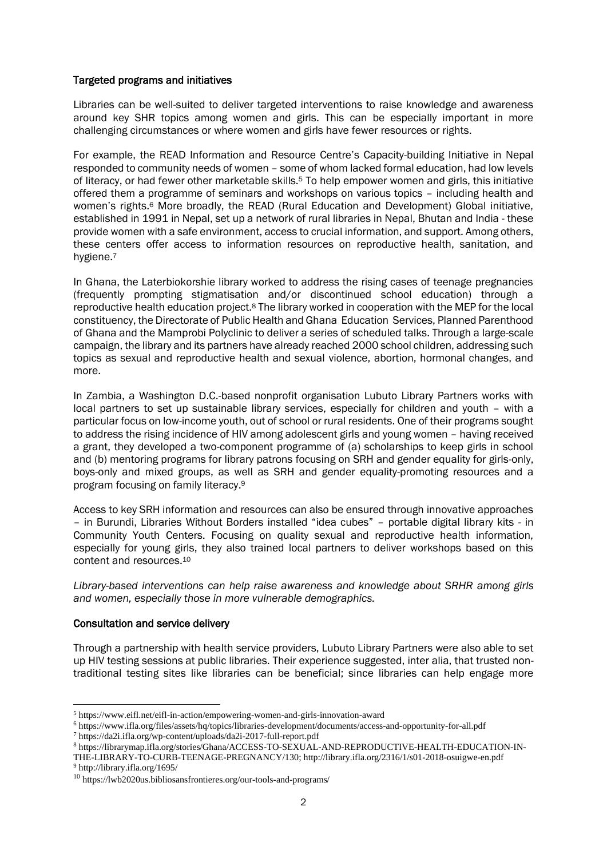## Targeted programs and initiatives

Libraries can be well-suited to deliver targeted interventions to raise knowledge and awareness around key SHR topics among women and girls. This can be especially important in more challenging circumstances or where women and girls have fewer resources or rights.

For example, the READ Information and Resource Centre's Capacity-building Initiative in Nepal responded to community needs of women – some of whom lacked formal education, had low levels of literacy, or had fewer other marketable skills.<sup>5</sup> To help empower women and girls, this initiative offered them a programme of seminars and workshops on various topics – including health and women's rights.<sup>6</sup> More broadly, the READ (Rural Education and Development) Global initiative, established in 1991 in Nepal, set up a network of rural libraries in Nepal, Bhutan and India - these provide women with a safe environment, access to crucial information, and support. Among others, these centers offer access to information resources on reproductive health, sanitation, and hygiene.<sup>7</sup>

In Ghana, the Laterbiokorshie library worked to address the rising cases of teenage pregnancies (frequently prompting stigmatisation and/or discontinued school education) through a reproductive health education project.<sup>8</sup> The library worked in cooperation with the MEP for the local constituency, the Directorate of Public Health and Ghana Education Services, Planned Parenthood of Ghana and the Mamprobi Polyclinic to deliver a series of scheduled talks. Through a large-scale campaign, the library and its partners have already reached 2000 school children, addressing such topics as sexual and reproductive health and sexual violence, abortion, hormonal changes, and more.

In Zambia, a Washington D.C.-based nonprofit organisation Lubuto Library Partners works with local partners to set up sustainable library services, especially for children and youth – with a particular focus on low-income youth, out of school or rural residents. One of their programs sought to address the rising incidence of HIV among adolescent girls and young women – having received a grant, they developed a two-component programme of (a) scholarships to keep girls in school and (b) mentoring programs for library patrons focusing on SRH and gender equality for girls-only, boys-only and mixed groups, as well as SRH and gender equality-promoting resources and a program focusing on family literacy. 9

Access to key SRH information and resources can also be ensured through innovative approaches – in Burundi, Libraries Without Borders installed "idea cubes" – portable digital library kits - in Community Youth Centers. Focusing on quality sexual and reproductive health information, especially for young girls, they also trained local partners to deliver workshops based on this content and resources. 10

*Library-based interventions can help raise awareness and knowledge about SRHR among girls and women, especially those in more vulnerable demographics.*

## Consultation and service delivery

Through a partnership with health service providers, Lubuto Library Partners were also able to set up HIV testing sessions at public libraries. Their experience suggested, inter alia, that trusted nontraditional testing sites like libraries can be beneficial; since libraries can help engage more

<sup>5</sup> https://www.eifl.net/eifl-in-action/empowering-women-and-girls-innovation-award

<sup>6</sup> https://www.ifla.org/files/assets/hq/topics/libraries-development/documents/access-and-opportunity-for-all.pdf

<sup>7</sup> https://da2i.ifla.org/wp-content/uploads/da2i-2017-full-report.pdf

<sup>8</sup> https://librarymap.ifla.org/stories/Ghana/ACCESS-TO-SEXUAL-AND-REPRODUCTIVE-HEALTH-EDUCATION-IN-

THE-LIBRARY-TO-CURB-TEENAGE-PREGNANCY/130; http://library.ifla.org/2316/1/s01-2018-osuigwe-en.pdf <sup>9</sup> http://library.ifla.org/1695/

<sup>10</sup> https://lwb2020us.bibliosansfrontieres.org/our-tools-and-programs/